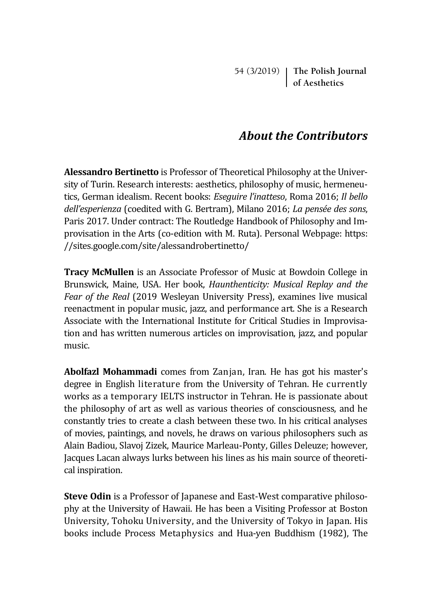54 (3/2019) **The Polish Journal of Aesthetics**

## *About the Contributors*

**Alessandro Bertinetto** is Professor of Theoretical Philosophy at the University of Turin. Research interests: aesthetics, philosophy of music, hermeneutics, German idealism. Recent books: *Eseguire l'inatteso*, Roma 2016; *Il bello dell'esperienza* (coedited with G. Bertram), Milano 2016; *La pensée des sons*, Paris 2017. Under contract: The Routledge Handbook of Philosophy and Improvisation in the Arts (co-edition with M. Ruta). Personal Webpage: https: //sites.google.com/site/alessandrobertinetto/

**Tracy McMullen** is an Associate Professor of Music at Bowdoin College in Brunswick, Maine, USA. Her book, *Haunthenticity: Musical Replay and the Fear of the Real* (2019 Wesleyan University Press), examines live musical reenactment in popular music, jazz, and performance art. She is a Research Associate with the International Institute for Critical Studies in Improvisation and has written numerous articles on improvisation, jazz, and popular music.

**Abolfazl Mohammadi** comes from Zanjan, Iran. He has got his master's degree in English literature from the University of Tehran. He currently works as a temporary IELTS instructor in Tehran. He is passionate about the philosophy of art as well as various theories of consciousness, and he constantly tries to create a clash between these two. In his critical analyses of movies, paintings, and novels, he draws on various philosophers such as Alain Badiou, Slavoj Zizek, Maurice Marleau-Ponty, Gilles Deleuze; however, Jacques Lacan always lurks between his lines as his main source of theoretical inspiration.

**Steve Odin** is a Professor of Japanese and East-West comparative philosophy at the University of Hawaii. He has been a Visiting Professor at Boston University, Tohoku University, and the University of Tokyo in Japan. His books include Process Metaphysics and Hua-yen Buddhism (1982), The